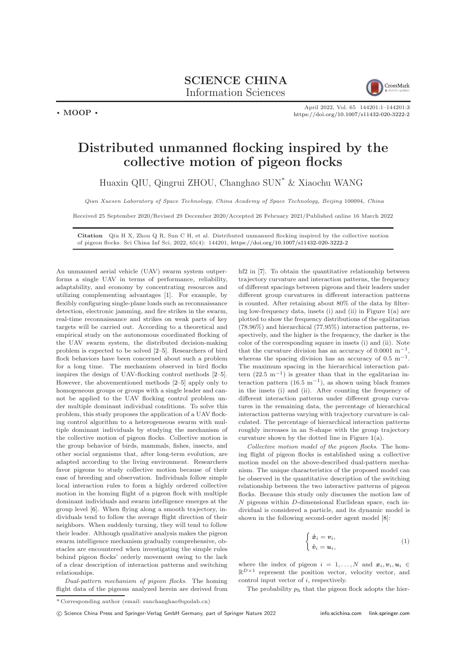

 $\cdot$  MOOP  $\cdot$ 

April 2022, Vol. 65 144201:1–144201[:3](#page-2-0) <https://doi.org/10.1007/s11432-020-3222-2>

## Distributed unmanned flocking inspired by the collective motion of pigeon flocks

Huaxin QIU, Qingrui ZHOU, Changhao SUN\* & Xiaochu WANG

Qian Xuesen Laboratory of Space Technology, China Academy of Space Technology, Beijing 100094, China

Received 25 September 2020/Revised 29 December 2020/Accepted 26 February 2021/Published online 16 March 2022

Citation Qiu H X, Zhou Q R, Sun C H, et al. Distributed unmanned flocking inspired by the collective motion of pigeon flocks. Sci China Inf Sci, 2022, 65(4): 144201, <https://doi.org/10.1007/s11432-020-3222-2>

An unmanned aerial vehicle (UAV) swarm system outperforms a single UAV in terms of performance, reliability, adaptability, and economy by concentrating resources and utilizing complementing advantages [\[1\]](#page-2-1). For example, by flexibly configuring single-plane loads such as reconnaissance detection, electronic jamming, and fire strikes in the swarm, real-time reconnaissance and strikes on weak parts of key targets will be carried out. According to a theoretical and empirical study on the autonomous coordinated flocking of the UAV swarm system, the distributed decision-making problem is expected to be solved [\[2](#page-2-2)[–5\]](#page-2-3). Researchers of bird flock behaviors have been concerned about such a problem for a long time. The mechanism observed in bird flocks inspires the design of UAV-flocking control methods [\[2–](#page-2-2)[5\]](#page-2-3). However, the abovementioned methods [\[2–](#page-2-2)[5\]](#page-2-3) apply only to homogeneous groups or groups with a single leader and cannot be applied to the UAV flocking control problem under multiple dominant individual conditions. To solve this problem, this study proposes the application of a UAV flocking control algorithm to a heterogeneous swarm with multiple dominant individuals by studying the mechanism of the collective motion of pigeon flocks. Collective motion is the group behavior of birds, mammals, fishes, insects, and other social organisms that, after long-term evolution, are adapted according to the living environment. Researchers favor pigeons to study collective motion because of their ease of breeding and observation. Individuals follow simple local interaction rules to form a highly ordered collective motion in the homing flight of a pigeon flock with multiple dominant individuals and swarm intelligence emerges at the group level [\[6\]](#page-2-4). When flying along a smooth trajectory, individuals tend to follow the average flight direction of their neighbors. When suddenly turning, they will tend to follow their leader. Although qualitative analysis makes the pigeon swarm intelligence mechanism gradually comprehensive, obstacles are encountered when investigating the simple rules behind pigeon flocks' orderly movement owing to the lack of a clear description of interaction patterns and switching relationships.

Dual-pattern mechanism of pigeon flocks. The homing flight data of the pigeons analyzed herein are derived from hf2 in [\[7\]](#page-2-5). To obtain the quantitative relationship between trajectory curvature and interaction patterns, the frequency of different spacings between pigeons and their leaders under different group curvatures in different interaction patterns is counted. After retaining about 80% of the data by filtering low-frequency data, insets (i) and (ii) in Figure [1\(](#page-1-0)a) are plotted to show the frequency distributions of the egalitarian (78.96%) and hierarchical (77.95%) interaction patterns, respectively, and the higher is the frequency, the darker is the color of the corresponding square in insets (i) and (ii). Note that the curvature division has an accuracy of  $0.0001 \text{ m}^{-1}$ , whereas the spacing division has an accuracy of  $0.5 \text{ m}^{-1}$ . The maximum spacing in the hierarchical interaction pattern  $(22.5 \text{ m}^{-1})$  is greater than that in the egalitarian interaction pattern  $(16.5 \text{ m}^{-1})$ , as shown using black frames in the insets (i) and (ii). After counting the frequency of different interaction patterns under different group curvatures in the remaining data, the percentage of hierarchical interaction patterns varying with trajectory curvature is calculated. The percentage of hierarchical interaction patterns roughly increases in an S-shape with the group trajectory curvature shown by the dotted line in Figure [1\(](#page-1-0)a).

Collective motion model of the pigeon flocks. The homing flight of pigeon flocks is established using a collective motion model on the above-described dual-pattern mechanism. The unique characteristics of the proposed model can be observed in the quantitative description of the switching relationship between the two interactive patterns of pigeon flocks. Because this study only discusses the motion law of  $N$  pigeons within  $D$ -dimensional Euclidean space, each individual is considered a particle, and its dynamic model is shown in the following second-order agent model [\[8\]](#page-2-6):

$$
\begin{cases} \dot{\boldsymbol{x}}_i = \boldsymbol{v}_i, \\ \dot{\boldsymbol{v}}_i = \boldsymbol{u}_i, \end{cases} \tag{1}
$$

where the index of pigeon  $i = 1, \ldots, N$  and  $\mathbf{x}_i, \mathbf{v}_i, \mathbf{u}_i \in$  $\mathbb{R}^{D\times 1}$  represent the position vector, velocity vector, and control input vector of i, respectively.

The probability  $p_h$  that the pigeon flock adopts the hier-

 $\overline{\text{*}$  Corresponding author (email: sunchanghao@qxslab.cn)

c Science China Press and Springer-Verlag GmbH Germany, part of Springer Nature 2022 <info.scichina.com><link.springer.com>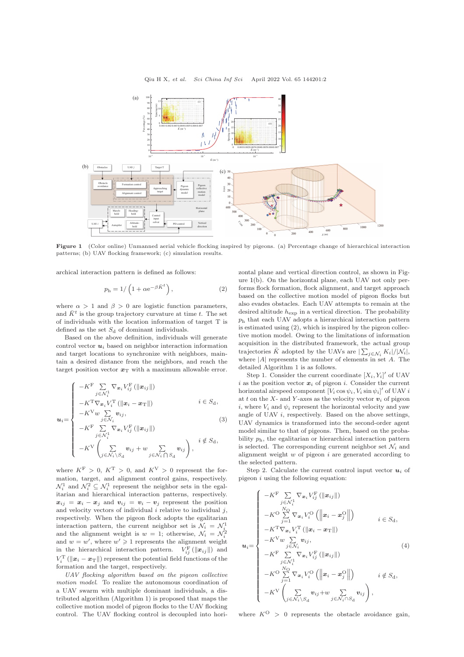<span id="page-1-0"></span>

Figure 1 (Color online) Unmanned aerial vehicle flocking inspired by pigeons. (a) Percentage change of hierarchical interaction patterns; (b) UAV flocking framework; (c) simulation results.

archical interaction pattern is defined as follows:

$$
p_{\rm h} = 1/\left(1 + \alpha e^{-\beta \bar{K}^t}\right),\tag{2}
$$

where  $\alpha > 1$  and  $\beta > 0$  are logistic function parameters, and  $\bar{K}^t$  is the group trajectory curvature at time t. The set of individuals with the location information of target T is defined as the set  $S_d$  of dominant individuals.

Based on the above definition, individuals will generate control vector  $u_i$  based on neighbor interaction information and target locations to synchronize with neighbors, maintain a desired distance from the neighbors, and reach the target position vector  $x_T$  with a maximum allowable error.

$$
\mathbf{u}_{i} = \begin{cases}\n-K^{\mathrm{F}} \sum_{j \in \mathcal{N}_{i}^{1}} \nabla_{\mathbf{x}_{i}} V_{ij}^{\mathrm{F}} \left( \|\mathbf{x}_{ij}\|\right) \\
-K^{\mathrm{T}} \nabla_{\mathbf{x}_{i}} V_{i}^{\mathrm{T}} \left( \|\mathbf{x}_{i} - \mathbf{x}_{\mathrm{T}}\|\right) & i \in S_{\mathrm{d}}, \\
-K^{\mathrm{V}} \omega \sum_{j \in \mathcal{N}_{i}} \mathbf{v}_{ij}, & i \in S_{\mathrm{d}}, \\
-K^{\mathrm{F}} \sum_{j \in \mathcal{N}_{i}^{1}} \nabla_{\mathbf{x}_{i}} V_{ij}^{\mathrm{F}} \left( \|\mathbf{x}_{ij}\|\right) & i \notin S_{\mathrm{d}}, \\
-K^{\mathrm{V}} \left(\sum_{j \in \mathcal{N}_{i} \backslash S_{\mathrm{d}}} \mathbf{v}_{ij} + \omega \sum_{j \in \mathcal{N}_{i} \cap S_{\mathrm{d}}} \mathbf{v}_{ij}\right), & i \notin S_{\mathrm{d}},\n\end{cases}
$$

where  $K^{\rm F} > 0$ ,  $K^{\rm T} > 0$ , and  $K^{\rm V} > 0$  represent the formation, target, and alignment control gains, respectively.  $\mathcal{N}_i^1$  and  $\mathcal{N}_i^2 \subseteq \mathcal{N}_i^1$  represent the neighbor sets in the egalitarian and hierarchical interaction patterns, respectively.  $x_{ij} = x_i - x_j$  and  $v_{ij} = v_i - v_j$  represent the position and velocity vectors of individual  $i$  relative to individual  $j$ , respectively. When the pigeon flock adopts the egalitarian interaction pattern, the current neighbor set is  $\mathcal{N}_i = \mathcal{N}_i^1$ interaction pattern, the current neighbor set is  $N_i = N_i$ <br>and the alignment weight is  $w = 1$ ; otherwise,  $N_i = N_i^2$ and  $w = w'$ , where  $w' \geq 1$  represents the alignment weight in the hierarchical interaction pattern.  $V_{ij}^{\text{F}}(\|\boldsymbol{x}_{ij}\|)$  and  $V_i^{\mathrm{T}}\left(\left\|\boldsymbol{x}_i-\boldsymbol{x}_{\mathrm{T}}\right\|\right)$  represent the potential field functions of the formation and the target, respectively.

UAV flocking algorithm based on the pigeon collective motion model. To realize the autonomous coordination of a UAV swarm with multiple dominant individuals, a distributed algorithm (Algorithm 1) is proposed that maps the collective motion model of pigeon flocks to the UAV flocking control. The UAV flocking control is decoupled into horizontal plane and vertical direction control, as shown in Figure [1\(](#page-1-0)b). On the horizontal plane, each UAV not only performs flock formation, flock alignment, and target approach based on the collective motion model of pigeon flocks but also evades obstacles. Each UAV attempts to remain at the desired altitude  $h_{\text{exp}}$  in a vertical direction. The probability  $p<sub>h</sub>$  that each UAV adopts a hierarchical interaction pattern is estimated using (2), which is inspired by the pigeon collective motion model. Owing to the limitations of information acquisition in the distributed framework, the actual group trajectories  $\bar{K}$  adopted by the UAVs are  $|\sum_{j \in \mathcal{N}_i} K_i|/|\mathcal{N}_i|$ , where  $|A|$  represents the number of elements in set  $A$ . The detailed Algorithm 1 is as follows.

Step 1. Consider the current coordinate  $[X_i, Y_i]'$  of UAV i as the position vector  $x_i$  of pigeon i. Consider the current horizontal airspeed component  $[V_i \cos \psi_i, V_i \sin \psi_i]'$  of UAV i at t on the X- and Y-axes as the velocity vector  $v_i$  of pigeon i, where  $V_i$  and  $\psi_i$  represent the horizontal velocity and yaw angle of UAV i, respectively. Based on the above settings, UAV dynamics is transformed into the second-order agent model similar to that of pigeons. Then, based on the probability  $p_h$ , the egalitarian or hierarchical interaction pattern is selected. The corresponding current neighbor set  $\mathcal{N}_i$  and alignment weight  $w$  of pigeon  $i$  are generated according to the selected pattern.

Step 2. Calculate the current control input vector  $u_i$  of pigeon  $i$  using the following equation:

$$
\mathbf{u}_{i} = \begin{cases}\n-K^{\mathrm{F}} \sum_{j \in \mathcal{N}_{i}} \nabla_{\mathbf{x}_{i}} V_{ij}^{\mathrm{F}} \left( \|\mathbf{x}_{ij}\| \right) \\
-K^{\mathrm{O}} \sum_{j=1}^{N_{\mathrm{O}}} \nabla_{\mathbf{x}_{i}} V_{i}^{\mathrm{O}} \left( \left\| \mathbf{x}_{i} - \mathbf{x}_{j}^{\mathrm{O}} \right\| \right) & i \in S_{\mathrm{d}}, \\
-K^{\mathrm{T}} \nabla_{\mathbf{x}_{i}} V_{i}^{\mathrm{T}} \left( \left\| \mathbf{x}_{i} - \mathbf{x}_{\mathrm{T}} \right\| \right) & i \in S_{\mathrm{d}}, \\
-K^{\mathrm{T}} \nabla_{\mathbf{x}_{i}} V_{i}^{\mathrm{T}} \left( \left\| \mathbf{x}_{i} - \mathbf{x}_{\mathrm{T}} \right\| \right) & i \in S_{\mathrm{d}}, \\
-K^{\mathrm{F}} \sum_{j \in \mathcal{N}_{i}} \nabla_{\mathbf{x}_{i}} V_{ij}^{\mathrm{F}} \left( \left\| \mathbf{x}_{ij} \right\| \right) & i \notin S_{\mathrm{d}}, \\
-K^{\mathrm{O}} \sum_{j=1}^{N_{\mathrm{O}}} \nabla_{\mathbf{x}_{i}} V_{i}^{\mathrm{O}} \left( \left\| \mathbf{x}_{i} - \mathbf{x}_{j}^{\mathrm{O}} \right\| \right) & i \notin S_{\mathrm{d}}, \\
-K^{\mathrm{V}} \left( \sum_{j \in \mathcal{N}_{i} \backslash S_{\mathrm{d}}} \mathbf{v}_{ij} + w \sum_{j \in \mathcal{N}_{i} \cap S_{\mathrm{d}}} \mathbf{v}_{ij} \right),\n\end{cases}
$$

where  $K^O > 0$  represents the obstacle avoidance gain,